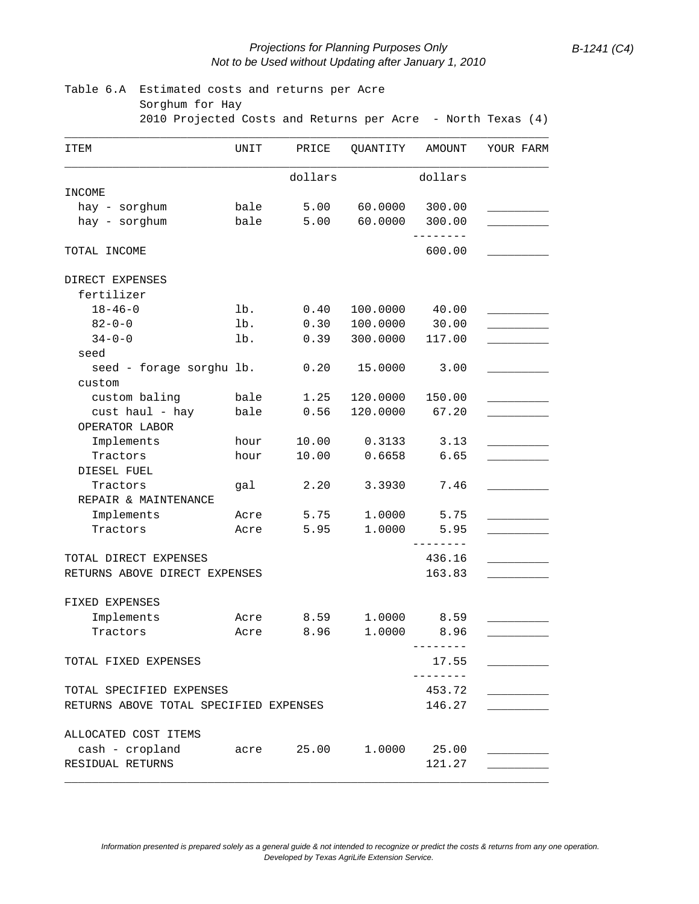## *Projections for Planning Purposes Only B-1241 (C4) Not to be Used without Updating after January 1, 2010*

| Table 6.A Estimated costs and returns per Acre<br>Sorghum for Hay |      |           |          |                    |           |
|-------------------------------------------------------------------|------|-----------|----------|--------------------|-----------|
| 2010 Projected Costs and Returns per Acre - North Texas (4)       |      |           |          |                    |           |
| ITEM                                                              | UNIT | PRICE     | QUANTITY | AMOUNT             | YOUR FARM |
|                                                                   |      | dollars   |          | dollars            |           |
| INCOME                                                            |      |           |          |                    |           |
| hay - sorghum                                                     | bale | 5.00      | 60.0000  | 300.00             |           |
| hay - sorghum                                                     |      | bale 5.00 | 60.0000  | 300.00             |           |
| TOTAL INCOME                                                      |      |           |          | 600.00             |           |
| DIRECT EXPENSES                                                   |      |           |          |                    |           |
| fertilizer                                                        |      |           |          |                    |           |
| $18 - 46 - 0$                                                     | lb.  | 0.40      | 100.0000 | 40.00              |           |
| $82 - 0 - 0$                                                      | lb.  | 0.30      | 100.0000 | 30.00              |           |
| $34 - 0 - 0$                                                      | lb.  | 0.39      | 300.0000 | 117.00             |           |
| seed                                                              |      |           |          |                    |           |
| seed - forage sorghu lb.                                          |      | 0.20      | 15.0000  | 3.00               |           |
| custom                                                            |      |           |          |                    |           |
| custom baling                                                     | bale | 1.25      | 120.0000 | 150.00             |           |
| cust haul - hay                                                   | bale | 0.56      | 120.0000 | 67.20              |           |
| OPERATOR LABOR                                                    |      |           |          |                    |           |
| Implements                                                        | hour | 10.00     | 0.3133   | 3.13               |           |
| Tractors                                                          | hour | 10.00     | 0.6658   | 6.65               |           |
| DIESEL FUEL                                                       |      |           |          |                    |           |
| Tractors                                                          | gal  | 2.20      | 3.3930   | 7.46               |           |
| REPAIR & MAINTENANCE                                              |      |           |          |                    |           |
| Implements                                                        | Acre | 5.75      | 1.0000   | 5.75               |           |
| Tractors                                                          | Acre | 5.95      | 1.0000   | 5.95<br>---------  |           |
| TOTAL DIRECT EXPENSES                                             |      |           |          | 436.16             |           |
| RETURNS ABOVE DIRECT EXPENSES                                     |      |           |          | 163.83             |           |
|                                                                   |      |           |          |                    |           |
| FIXED EXPENSES                                                    |      |           |          |                    |           |
| Implements                                                        |      | Acre 8.59 |          | 1.0000 8.59        |           |
| Tractors                                                          |      | Acre 8.96 |          | 1.0000 8.96        |           |
| TOTAL FIXED EXPENSES                                              |      |           |          | 17.55              |           |
| TOTAL SPECIFIED EXPENSES                                          |      |           |          | --------<br>453.72 |           |
| RETURNS ABOVE TOTAL SPECIFIED EXPENSES                            |      |           |          | 146.27             |           |
| ALLOCATED COST ITEMS                                              |      |           |          |                    |           |
| cash - cropland                                                   | acre | 25.00     | 1,0000   | 25.00              |           |
| RESIDUAL RETURNS                                                  |      |           |          | 121.27             |           |

\_\_\_\_\_\_\_\_\_\_\_\_\_\_\_\_\_\_\_\_\_\_\_\_\_\_\_\_\_\_\_\_\_\_\_\_\_\_\_\_\_\_\_\_\_\_\_\_\_\_\_\_\_\_\_\_\_\_\_\_\_\_\_\_\_\_\_\_\_\_\_